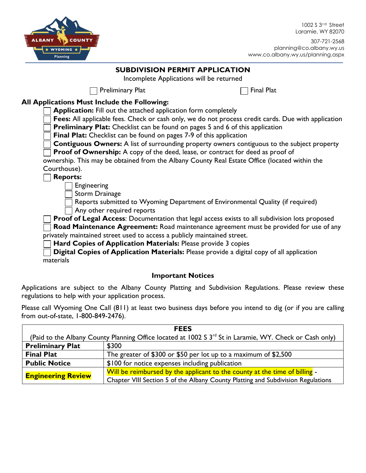

1002 S 3<sup>rd</sup> Street Laramie, WY 82070

#### **SUBDIVISION PERMIT APPLICATION**

Incomplete Applications will be returned

Preliminary Plat  $\Box$  Final Plat

### **All Applications Must Include the Following:**

**Application:** Fill out the attached application form completely

**Fees:** All applicable fees. Check or cash only, we do not process credit cards. Due with application

**Preliminary Plat:** Checklist can be found on pages 5 and 6 of this application

**Final Plat:** Checklist can be found on pages 7-9 of this application

**Contiguous Owners:** A list of surrounding property owners contiguous to the subject property

**Proof of Ownership:** A copy of the deed, lease, or contract for deed as proof of

ownership. This may be obtained from the Albany County Real Estate Office (located within the Courthouse).

**Reports:**

Engineering

Storm Drainage

Reports submitted to Wyoming Department of Environmental Quality (if required) Any other required reports

**Proof of Legal Access**: Documentation that legal access exists to all subdivision lots proposed

**Road Maintenance Agreement:** Road maintenance agreement must be provided for use of any privately maintained street used to access a publicly maintained street.

**Hard Copies of Application Materials:** Please provide 3 copies

**Digital Copies of Application Materials:** Please provide a digital copy of all application materials

#### **Important Notices**

Applications are subject to the Albany County Platting and Subdivision Regulations. Please review these regulations to help with your application process.

Please call Wyoming One Call (811) at least two business days before you intend to dig (or if you are calling from out-of-state, 1-800-849-2476).

| <b>FEES</b>                                                                                                         |                                                                                  |  |  |  |  |  |
|---------------------------------------------------------------------------------------------------------------------|----------------------------------------------------------------------------------|--|--|--|--|--|
| (Paid to the Albany County Planning Office located at 1002 S 3 <sup>rd</sup> St in Laramie, WY. Check or Cash only) |                                                                                  |  |  |  |  |  |
| <b>Preliminary Plat</b>                                                                                             | \$300                                                                            |  |  |  |  |  |
| <b>Final Plat</b>                                                                                                   | The greater of \$300 or \$50 per lot up to a maximum of \$2,500                  |  |  |  |  |  |
| <b>Public Notice</b>                                                                                                | \$100 for notice expenses including publication                                  |  |  |  |  |  |
| <b>Engineering Review</b>                                                                                           | Will be reimbursed by the applicant to the county at the time of billing -       |  |  |  |  |  |
|                                                                                                                     | Chapter VIII Section 5 of the Albany County Platting and Subdivision Regulations |  |  |  |  |  |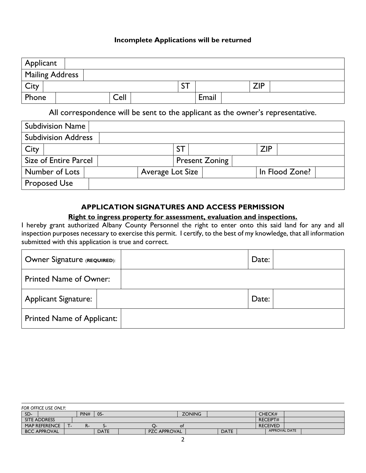#### **Incomplete Applications will be returned**

| Applicant       |  |      |           |       |            |  |
|-----------------|--|------|-----------|-------|------------|--|
| Mailing Address |  |      |           |       |            |  |
| City            |  |      | ~—<br>ا د |       | <b>ZIP</b> |  |
| Phone           |  | Cell |           | Email |            |  |

All correspondence will be sent to the applicant as the owner's representative.

| <b>Subdivision Name</b>    |                  |                |                       |     |                |  |
|----------------------------|------------------|----------------|-----------------------|-----|----------------|--|
| <b>Subdivision Address</b> |                  |                |                       |     |                |  |
| City                       |                  | S <sub>1</sub> |                       | ZIP |                |  |
| Size of Entire Parcel      |                  |                | <b>Present Zoning</b> |     |                |  |
| Number of Lots             | Average Lot Size |                |                       |     | In Flood Zone? |  |
| <b>Proposed Use</b>        |                  |                |                       |     |                |  |

#### **APPLICATION SIGNATURES AND ACCESS PERMISSION**

#### **Right to ingress property for assessment, evaluation and inspections.**

I hereby grant authorized Albany County Personnel the right to enter onto this said land for any and all inspection purposes necessary to exercise this permit. I certify, to the best of my knowledge, that all information submitted with this application is true and correct.

| Owner Signature (REQUIRED):       | Date: |
|-----------------------------------|-------|
| <b>Printed Name of Owner:</b>     |       |
| <b>Applicant Signature:</b>       | Date: |
| <b>Printed Name of Applicant:</b> |       |

|     | FOR OFFICE USE ONLY: |      |             |                     |    |               |             |  |                      |  |  |
|-----|----------------------|------|-------------|---------------------|----|---------------|-------------|--|----------------------|--|--|
| SD- |                      | PIN# | $05 -$      |                     |    | <b>ZONING</b> |             |  | CHECK#               |  |  |
|     | SITE ADDRESS         |      |             |                     |    |               |             |  | <b>RECEIPT#</b>      |  |  |
|     | <b>MAP REFERENCE</b> |      |             |                     | ΟĪ |               |             |  | <b>RECEIVED</b>      |  |  |
|     | <b>BCC APPROVAL</b>  |      | <b>DATE</b> | <b>PZC APPROVAL</b> |    |               | <b>DATE</b> |  | <b>APPROVAL DATE</b> |  |  |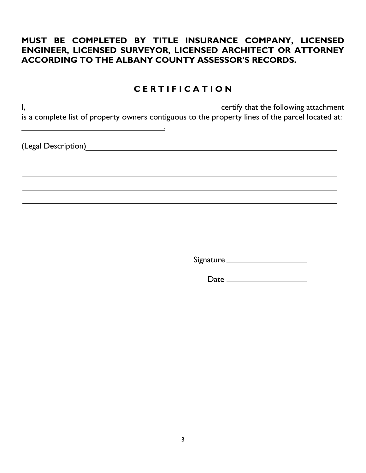### **MUST BE COMPLETED BY TITLE INSURANCE COMPANY, LICENSED ENGINEER, LICENSED SURVEYOR, LICENSED ARCHITECT OR ATTORNEY ACCORDING TO THE ALBANY COUNTY ASSESSOR'S RECORDS.**

## **C E R T I F I C A T I O N**

I, certify that the following attachment is a complete list of property owners contiguous to the property lines of the parcel located at:

(Legal Description)

<sup>-</sup>

<u>. Andre Sterne Sterne Sterne Sterne Sterne Sterne Sterne Sterne Sterne Sterne Sterne Sterne Sterne Sterne Ste</u>

Signature

Date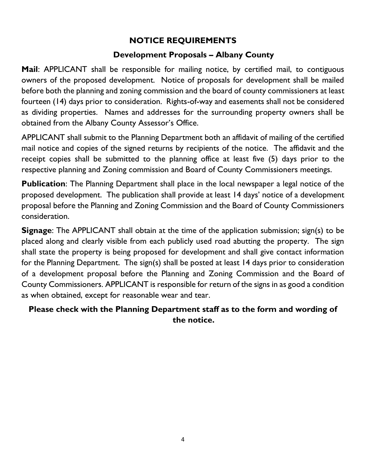## **NOTICE REQUIREMENTS**

### **Development Proposals – Albany County**

**Mail**: APPLICANT shall be responsible for mailing notice, by certified mail, to contiguous owners of the proposed development. Notice of proposals for development shall be mailed before both the planning and zoning commission and the board of county commissioners at least fourteen (14) days prior to consideration. Rights-of-way and easements shall not be considered as dividing properties. Names and addresses for the surrounding property owners shall be obtained from the Albany County Assessor's Office.

APPLICANT shall submit to the Planning Department both an affidavit of mailing of the certified mail notice and copies of the signed returns by recipients of the notice. The affidavit and the receipt copies shall be submitted to the planning office at least five (5) days prior to the respective planning and Zoning commission and Board of County Commissioners meetings.

**Publication:** The Planning Department shall place in the local newspaper a legal notice of the proposed development. The publication shall provide at least 14 days' notice of a development proposal before the Planning and Zoning Commission and the Board of County Commissioners consideration.

**Signage:** The APPLICANT shall obtain at the time of the application submission; sign(s) to be placed along and clearly visible from each publicly used road abutting the property. The sign shall state the property is being proposed for development and shall give contact information for the Planning Department. The sign(s) shall be posted at least 14 days prior to consideration of a development proposal before the Planning and Zoning Commission and the Board of County Commissioners. APPLICANT is responsible for return of the signs in as good a condition as when obtained, except for reasonable wear and tear.

## **Please check with the Planning Department staff as to the form and wording of the notice.**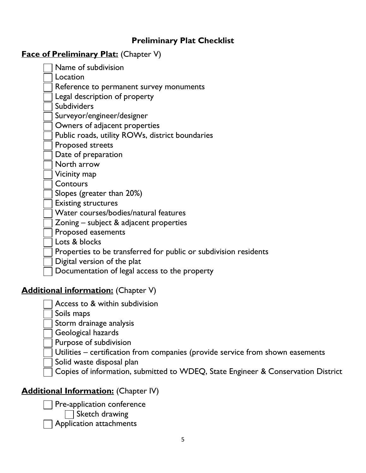### **Preliminary Plat Checklist**

### **Face of Preliminary Plat:** (Chapter V)

| Name of subdivision                                              |
|------------------------------------------------------------------|
| Location                                                         |
| Reference to permanent survey monuments                          |
| Legal description of property                                    |
| <b>Subdividers</b>                                               |
| Surveyor/engineer/designer                                       |
| Owners of adjacent properties                                    |
| Public roads, utility ROWs, district boundaries                  |
| Proposed streets                                                 |
| Date of preparation                                              |
| North arrow                                                      |
| Vicinity map                                                     |
| Contours                                                         |
| Slopes (greater than 20%)                                        |
| <b>Existing structures</b>                                       |
| Water courses/bodies/natural features                            |
| Zoning $-$ subject & adjacent properties                         |
| Proposed easements                                               |
| Lots & blocks                                                    |
| Properties to be transferred for public or subdivision residents |
| Digital version of the plat                                      |

Documentation of legal access to the property

# **Additional information:** (Chapter V)

- Access to & within subdivision
- Soils maps

Storm drainage analysis

- Geological hazards
- Purpose of subdivision
- Utilities certification from companies (provide service from shown easements
- Solid waste disposal plan
- Copies of information, submitted to WDEQ, State Engineer & Conservation District

# **Additional Information:** (Chapter IV)

Pre-application conference

 $\Box$  Sketch drawing

Application attachments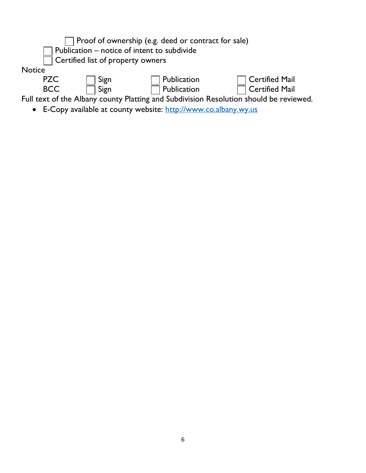

• E-Copy available at county website: [http://www.co.albany.wy.us](http://www.co.albany.wy.us/)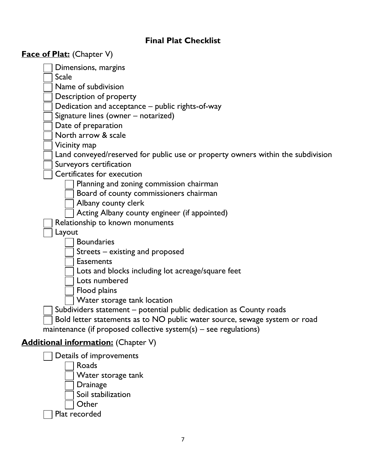# **Final Plat Checklist**

| <b>Face of Plat:</b> (Chapter V)                                                |
|---------------------------------------------------------------------------------|
| Dimensions, margins                                                             |
| <b>Scale</b>                                                                    |
| Name of subdivision                                                             |
| Description of property                                                         |
| Dedication and acceptance – public rights-of-way                                |
| Signature lines (owner - notarized)                                             |
| Date of preparation                                                             |
| North arrow & scale                                                             |
| Vicinity map                                                                    |
| Land conveyed/reserved for public use or property owners within the subdivision |
| Surveyors certification                                                         |
| Certificates for execution                                                      |
| Planning and zoning commission chairman                                         |
| Board of county commissioners chairman                                          |
| Albany county clerk                                                             |
| Acting Albany county engineer (if appointed)                                    |
| Relationship to known monuments                                                 |
| Layout<br><b>Boundaries</b>                                                     |
| Streets – existing and proposed                                                 |
| <b>Easements</b>                                                                |
| Lots and blocks including lot acreage/square feet                               |
| Lots numbered                                                                   |
| Flood plains                                                                    |
| Water storage tank location                                                     |
| Subdividers statement – potential public dedication as County roads             |
| Bold letter statements as to NO public water source, sewage system or road      |
| maintenance (if proposed collective system(s) – see regulations)                |
| <b>Additional information:</b> (Chapter V)                                      |
| Details of improvements                                                         |
| Roads                                                                           |
| Water storage tank                                                              |
| <b>Drainage</b>                                                                 |
| Soil stabilization                                                              |
| Other                                                                           |
| Plat recorded                                                                   |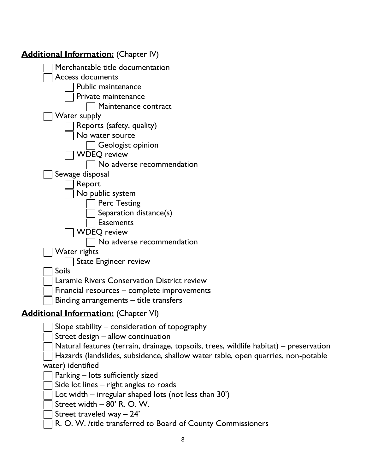| <b>Additional Information:</b> (Chapter IV)                                            |
|----------------------------------------------------------------------------------------|
| Merchantable title documentation                                                       |
| <b>Access documents</b>                                                                |
| Public maintenance                                                                     |
| Private maintenance                                                                    |
| Maintenance contract                                                                   |
| Water supply                                                                           |
| Reports (safety, quality)                                                              |
| No water source                                                                        |
| Geologist opinion                                                                      |
| <b>WDEQ</b> review                                                                     |
| No adverse recommendation                                                              |
| Sewage disposal                                                                        |
| Report                                                                                 |
| No public system                                                                       |
| <b>Perc Testing</b>                                                                    |
| Separation distance(s)                                                                 |
| <b>Easements</b>                                                                       |
| <b>WDEQ</b> review                                                                     |
| No adverse recommendation                                                              |
| Water rights                                                                           |
| <b>State Engineer review</b><br><b>Soils</b>                                           |
| Laramie Rivers Conservation District review                                            |
| Financial resources – complete improvements                                            |
| Binding arrangements - title transfers                                                 |
|                                                                                        |
| <b>Additional Information:</b> (Chapter VI)                                            |
| Slope stability – consideration of topography                                          |
| Street design - allow continuation                                                     |
| Natural features (terrain, drainage, topsoils, trees, wildlife habitat) – preservation |
| Hazards (landslides, subsidence, shallow water table, open quarries, non-potable       |
| water) identified                                                                      |
| Parking - lots sufficiently sized                                                      |
| Side lot lines – right angles to roads                                                 |
| Lot width – irregular shaped lots (not less than 30')                                  |
| Street width - 80' R. O. W.                                                            |
| Street traveled way $-24'$                                                             |

R. O. W. /title transferred to Board of County Commissioners